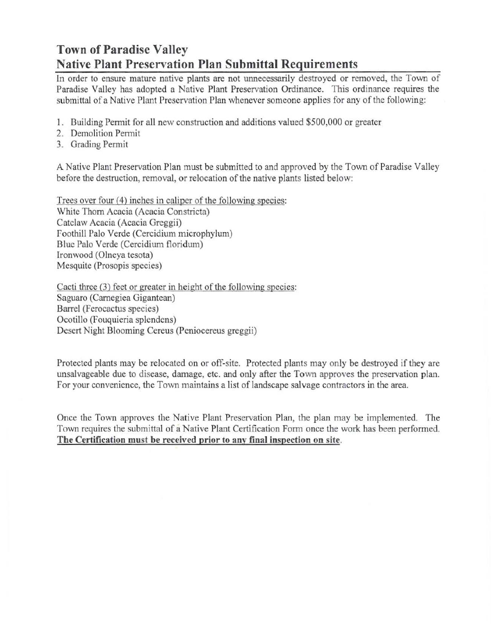## Town of Paradise Valley Native Plant Preservation Plan Submittal Requirements

In order to ensure mature native plants are not unnecessarily destroyed or removed, the Town of Paradise Valley has adopted a Native Plant Preservation Ordinance. This ordinance requires the submittal of a Native Plant Preservation Plan whenever someone applies for any of the following:

- J. Building Pennit for all new construction and additions valued \$500,000 or greater
- 2. Demolition Permit
- 3. Grading Permit

A Native Plant Preservation Plan must be submitted to and approved by the Town of Paradise Valley before the destruction, removal, or relocation of the native plants listed below:

Trees over four (4) inches in caliper of the following species: White Thorn Acacia (Acacia Constricta) Catclaw Acacia (Acacia Greggii) Foothill Palo Verde (Cercidium microphylum) Blue Palo Verde (Cercidium floridum) Ironwood (Olneya tesola) Mesquite (Prosopis species)

Cacti three  $(3)$  feet or greater in height of the following species: Saguaro (Carnegiea Gigantean) Barrel (Ferocactus species) Ocotillo (Fouquieria splendens) Desert Night Blooming Cereus (Peniocereus greggii)

Protected plants may be relocated on or off-site. Protected plants may only be destroyed if they are unsalvageable due to disease, damage, etc. and only after the Town approves the preservation plan. For your convenience, the Town maintains a list of landscape salvage contractors in the area.

Once the Town approves the Native Plant Preservation Plan, the plan may be implemented. The Town requires the submittal of a Native Plant Certification Form once the work has been performed. The Certification must be receivcd prior to any final inspection on sitc.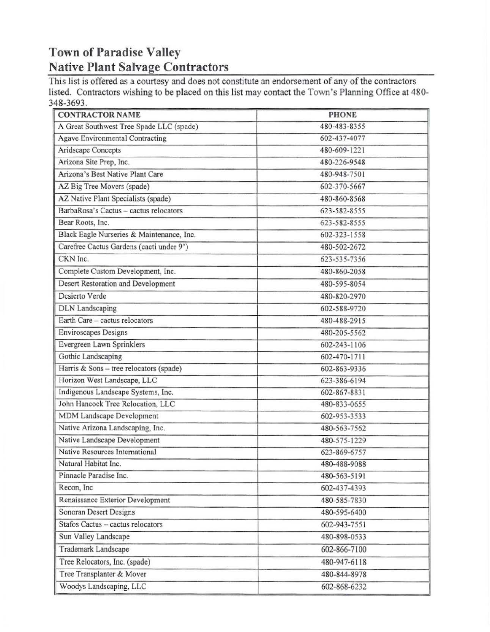## Town of Paradise Valley Native Plant Salvage Contractors

This list is offered as a courtesy and does not constitute an endorsement of any of the contractors listed. Contractors wishing to be placed on this list may contact the Town's Planning Office at 480· 348-3693.

| A Great Southwest Tree Spade LLC (spade)<br>480-483-8355<br><b>Agave Environmental Contracting</b><br>602-437-4077<br>Aridscape Concepts<br>480-609-1221<br>Arizona Site Prep, Inc.<br>480-226-9548<br>Arizona's Best Native Plant Care<br>480-948-7501<br>AZ Big Tree Movers (spade)<br>602-370-5667<br>AZ Native Plant Specialists (spade)<br>480-860-8568<br>BarbaRosa's Cactus - cactus relocators<br>623-582-8555<br>Bear Roots, Inc.<br>623-582-8555<br>Black Eagle Nurseries & Maintenance, Inc.<br>602-323-1558<br>Carefree Cactus Gardens (cacti under 9')<br>480-502-2672<br>CKN Inc.<br>623-535-7356<br>Complete Custom Development, Inc.<br>480-860-2058<br>Desert Restoration and Development<br>480-595-8054<br>Desierto Verde<br>480-820-2970<br><b>DLN</b> Landscaping<br>602-588-9720<br>Earth Care - cactus relocators<br>480-488-2915<br><b>Enviroscapes Designs</b><br>480-205-5562<br>Evergreen Lawn Sprinklers<br>602-243-1106<br>Gothic Landscaping<br>602-470-1711<br>Harris & Sons - tree relocators (spade)<br>602-863-9336<br>Horizon West Landscape, LLC<br>623-386-6194<br>Indigenous Landscape Systems, Inc.<br>602-867-8831<br>John Hancock Tree Relocation, LLC<br>480-833-0655<br>MDM Landscape Development<br>602-953-3533<br>Native Arizona Landscaping, Inc.<br>480-563-7562<br>Native Landscape Development<br>480-575-1229<br>Native Resources International<br>623-869-6757<br>Natural Habitat Inc.<br>480-488-9088<br>Pinnacle Paradise Inc.<br>480-563-5191<br>Recon, Inc<br>602-437-4393<br>Renaissance Exterior Development<br>480-585-7830<br>Sonoran Desert Designs<br>480-595-6400<br>Stafos Cactus - cactus relocators<br>602-943-7551<br>Sun Valley Landscape<br>480-898-0533<br>Trademark Landscape<br>602-866-7100<br>Tree Relocators, Inc. (spade)<br>480-947-6118<br>Tree Transplanter & Mover<br>480-844-8978<br>Woodys Landscaping, LLC<br>602-868-6232 | <b>CONTRACTOR NAME</b> | <b>PHONE</b> |  |  |
|---------------------------------------------------------------------------------------------------------------------------------------------------------------------------------------------------------------------------------------------------------------------------------------------------------------------------------------------------------------------------------------------------------------------------------------------------------------------------------------------------------------------------------------------------------------------------------------------------------------------------------------------------------------------------------------------------------------------------------------------------------------------------------------------------------------------------------------------------------------------------------------------------------------------------------------------------------------------------------------------------------------------------------------------------------------------------------------------------------------------------------------------------------------------------------------------------------------------------------------------------------------------------------------------------------------------------------------------------------------------------------------------------------------------------------------------------------------------------------------------------------------------------------------------------------------------------------------------------------------------------------------------------------------------------------------------------------------------------------------------------------------------------------------------------------------------------------------------------------------------------------------------------------------|------------------------|--------------|--|--|
|                                                                                                                                                                                                                                                                                                                                                                                                                                                                                                                                                                                                                                                                                                                                                                                                                                                                                                                                                                                                                                                                                                                                                                                                                                                                                                                                                                                                                                                                                                                                                                                                                                                                                                                                                                                                                                                                                                               |                        |              |  |  |
|                                                                                                                                                                                                                                                                                                                                                                                                                                                                                                                                                                                                                                                                                                                                                                                                                                                                                                                                                                                                                                                                                                                                                                                                                                                                                                                                                                                                                                                                                                                                                                                                                                                                                                                                                                                                                                                                                                               |                        |              |  |  |
|                                                                                                                                                                                                                                                                                                                                                                                                                                                                                                                                                                                                                                                                                                                                                                                                                                                                                                                                                                                                                                                                                                                                                                                                                                                                                                                                                                                                                                                                                                                                                                                                                                                                                                                                                                                                                                                                                                               |                        |              |  |  |
|                                                                                                                                                                                                                                                                                                                                                                                                                                                                                                                                                                                                                                                                                                                                                                                                                                                                                                                                                                                                                                                                                                                                                                                                                                                                                                                                                                                                                                                                                                                                                                                                                                                                                                                                                                                                                                                                                                               |                        |              |  |  |
|                                                                                                                                                                                                                                                                                                                                                                                                                                                                                                                                                                                                                                                                                                                                                                                                                                                                                                                                                                                                                                                                                                                                                                                                                                                                                                                                                                                                                                                                                                                                                                                                                                                                                                                                                                                                                                                                                                               |                        |              |  |  |
|                                                                                                                                                                                                                                                                                                                                                                                                                                                                                                                                                                                                                                                                                                                                                                                                                                                                                                                                                                                                                                                                                                                                                                                                                                                                                                                                                                                                                                                                                                                                                                                                                                                                                                                                                                                                                                                                                                               |                        |              |  |  |
|                                                                                                                                                                                                                                                                                                                                                                                                                                                                                                                                                                                                                                                                                                                                                                                                                                                                                                                                                                                                                                                                                                                                                                                                                                                                                                                                                                                                                                                                                                                                                                                                                                                                                                                                                                                                                                                                                                               |                        |              |  |  |
|                                                                                                                                                                                                                                                                                                                                                                                                                                                                                                                                                                                                                                                                                                                                                                                                                                                                                                                                                                                                                                                                                                                                                                                                                                                                                                                                                                                                                                                                                                                                                                                                                                                                                                                                                                                                                                                                                                               |                        |              |  |  |
|                                                                                                                                                                                                                                                                                                                                                                                                                                                                                                                                                                                                                                                                                                                                                                                                                                                                                                                                                                                                                                                                                                                                                                                                                                                                                                                                                                                                                                                                                                                                                                                                                                                                                                                                                                                                                                                                                                               |                        |              |  |  |
|                                                                                                                                                                                                                                                                                                                                                                                                                                                                                                                                                                                                                                                                                                                                                                                                                                                                                                                                                                                                                                                                                                                                                                                                                                                                                                                                                                                                                                                                                                                                                                                                                                                                                                                                                                                                                                                                                                               |                        |              |  |  |
|                                                                                                                                                                                                                                                                                                                                                                                                                                                                                                                                                                                                                                                                                                                                                                                                                                                                                                                                                                                                                                                                                                                                                                                                                                                                                                                                                                                                                                                                                                                                                                                                                                                                                                                                                                                                                                                                                                               |                        |              |  |  |
|                                                                                                                                                                                                                                                                                                                                                                                                                                                                                                                                                                                                                                                                                                                                                                                                                                                                                                                                                                                                                                                                                                                                                                                                                                                                                                                                                                                                                                                                                                                                                                                                                                                                                                                                                                                                                                                                                                               |                        |              |  |  |
|                                                                                                                                                                                                                                                                                                                                                                                                                                                                                                                                                                                                                                                                                                                                                                                                                                                                                                                                                                                                                                                                                                                                                                                                                                                                                                                                                                                                                                                                                                                                                                                                                                                                                                                                                                                                                                                                                                               |                        |              |  |  |
|                                                                                                                                                                                                                                                                                                                                                                                                                                                                                                                                                                                                                                                                                                                                                                                                                                                                                                                                                                                                                                                                                                                                                                                                                                                                                                                                                                                                                                                                                                                                                                                                                                                                                                                                                                                                                                                                                                               |                        |              |  |  |
|                                                                                                                                                                                                                                                                                                                                                                                                                                                                                                                                                                                                                                                                                                                                                                                                                                                                                                                                                                                                                                                                                                                                                                                                                                                                                                                                                                                                                                                                                                                                                                                                                                                                                                                                                                                                                                                                                                               |                        |              |  |  |
|                                                                                                                                                                                                                                                                                                                                                                                                                                                                                                                                                                                                                                                                                                                                                                                                                                                                                                                                                                                                                                                                                                                                                                                                                                                                                                                                                                                                                                                                                                                                                                                                                                                                                                                                                                                                                                                                                                               |                        |              |  |  |
|                                                                                                                                                                                                                                                                                                                                                                                                                                                                                                                                                                                                                                                                                                                                                                                                                                                                                                                                                                                                                                                                                                                                                                                                                                                                                                                                                                                                                                                                                                                                                                                                                                                                                                                                                                                                                                                                                                               |                        |              |  |  |
|                                                                                                                                                                                                                                                                                                                                                                                                                                                                                                                                                                                                                                                                                                                                                                                                                                                                                                                                                                                                                                                                                                                                                                                                                                                                                                                                                                                                                                                                                                                                                                                                                                                                                                                                                                                                                                                                                                               |                        |              |  |  |
|                                                                                                                                                                                                                                                                                                                                                                                                                                                                                                                                                                                                                                                                                                                                                                                                                                                                                                                                                                                                                                                                                                                                                                                                                                                                                                                                                                                                                                                                                                                                                                                                                                                                                                                                                                                                                                                                                                               |                        |              |  |  |
|                                                                                                                                                                                                                                                                                                                                                                                                                                                                                                                                                                                                                                                                                                                                                                                                                                                                                                                                                                                                                                                                                                                                                                                                                                                                                                                                                                                                                                                                                                                                                                                                                                                                                                                                                                                                                                                                                                               |                        |              |  |  |
|                                                                                                                                                                                                                                                                                                                                                                                                                                                                                                                                                                                                                                                                                                                                                                                                                                                                                                                                                                                                                                                                                                                                                                                                                                                                                                                                                                                                                                                                                                                                                                                                                                                                                                                                                                                                                                                                                                               |                        |              |  |  |
|                                                                                                                                                                                                                                                                                                                                                                                                                                                                                                                                                                                                                                                                                                                                                                                                                                                                                                                                                                                                                                                                                                                                                                                                                                                                                                                                                                                                                                                                                                                                                                                                                                                                                                                                                                                                                                                                                                               |                        |              |  |  |
|                                                                                                                                                                                                                                                                                                                                                                                                                                                                                                                                                                                                                                                                                                                                                                                                                                                                                                                                                                                                                                                                                                                                                                                                                                                                                                                                                                                                                                                                                                                                                                                                                                                                                                                                                                                                                                                                                                               |                        |              |  |  |
|                                                                                                                                                                                                                                                                                                                                                                                                                                                                                                                                                                                                                                                                                                                                                                                                                                                                                                                                                                                                                                                                                                                                                                                                                                                                                                                                                                                                                                                                                                                                                                                                                                                                                                                                                                                                                                                                                                               |                        |              |  |  |
|                                                                                                                                                                                                                                                                                                                                                                                                                                                                                                                                                                                                                                                                                                                                                                                                                                                                                                                                                                                                                                                                                                                                                                                                                                                                                                                                                                                                                                                                                                                                                                                                                                                                                                                                                                                                                                                                                                               |                        |              |  |  |
|                                                                                                                                                                                                                                                                                                                                                                                                                                                                                                                                                                                                                                                                                                                                                                                                                                                                                                                                                                                                                                                                                                                                                                                                                                                                                                                                                                                                                                                                                                                                                                                                                                                                                                                                                                                                                                                                                                               |                        |              |  |  |
|                                                                                                                                                                                                                                                                                                                                                                                                                                                                                                                                                                                                                                                                                                                                                                                                                                                                                                                                                                                                                                                                                                                                                                                                                                                                                                                                                                                                                                                                                                                                                                                                                                                                                                                                                                                                                                                                                                               |                        |              |  |  |
|                                                                                                                                                                                                                                                                                                                                                                                                                                                                                                                                                                                                                                                                                                                                                                                                                                                                                                                                                                                                                                                                                                                                                                                                                                                                                                                                                                                                                                                                                                                                                                                                                                                                                                                                                                                                                                                                                                               |                        |              |  |  |
|                                                                                                                                                                                                                                                                                                                                                                                                                                                                                                                                                                                                                                                                                                                                                                                                                                                                                                                                                                                                                                                                                                                                                                                                                                                                                                                                                                                                                                                                                                                                                                                                                                                                                                                                                                                                                                                                                                               |                        |              |  |  |
|                                                                                                                                                                                                                                                                                                                                                                                                                                                                                                                                                                                                                                                                                                                                                                                                                                                                                                                                                                                                                                                                                                                                                                                                                                                                                                                                                                                                                                                                                                                                                                                                                                                                                                                                                                                                                                                                                                               |                        |              |  |  |
|                                                                                                                                                                                                                                                                                                                                                                                                                                                                                                                                                                                                                                                                                                                                                                                                                                                                                                                                                                                                                                                                                                                                                                                                                                                                                                                                                                                                                                                                                                                                                                                                                                                                                                                                                                                                                                                                                                               |                        |              |  |  |
|                                                                                                                                                                                                                                                                                                                                                                                                                                                                                                                                                                                                                                                                                                                                                                                                                                                                                                                                                                                                                                                                                                                                                                                                                                                                                                                                                                                                                                                                                                                                                                                                                                                                                                                                                                                                                                                                                                               |                        |              |  |  |
|                                                                                                                                                                                                                                                                                                                                                                                                                                                                                                                                                                                                                                                                                                                                                                                                                                                                                                                                                                                                                                                                                                                                                                                                                                                                                                                                                                                                                                                                                                                                                                                                                                                                                                                                                                                                                                                                                                               |                        |              |  |  |
|                                                                                                                                                                                                                                                                                                                                                                                                                                                                                                                                                                                                                                                                                                                                                                                                                                                                                                                                                                                                                                                                                                                                                                                                                                                                                                                                                                                                                                                                                                                                                                                                                                                                                                                                                                                                                                                                                                               |                        |              |  |  |
|                                                                                                                                                                                                                                                                                                                                                                                                                                                                                                                                                                                                                                                                                                                                                                                                                                                                                                                                                                                                                                                                                                                                                                                                                                                                                                                                                                                                                                                                                                                                                                                                                                                                                                                                                                                                                                                                                                               |                        |              |  |  |
|                                                                                                                                                                                                                                                                                                                                                                                                                                                                                                                                                                                                                                                                                                                                                                                                                                                                                                                                                                                                                                                                                                                                                                                                                                                                                                                                                                                                                                                                                                                                                                                                                                                                                                                                                                                                                                                                                                               |                        |              |  |  |
|                                                                                                                                                                                                                                                                                                                                                                                                                                                                                                                                                                                                                                                                                                                                                                                                                                                                                                                                                                                                                                                                                                                                                                                                                                                                                                                                                                                                                                                                                                                                                                                                                                                                                                                                                                                                                                                                                                               |                        |              |  |  |
|                                                                                                                                                                                                                                                                                                                                                                                                                                                                                                                                                                                                                                                                                                                                                                                                                                                                                                                                                                                                                                                                                                                                                                                                                                                                                                                                                                                                                                                                                                                                                                                                                                                                                                                                                                                                                                                                                                               |                        |              |  |  |
|                                                                                                                                                                                                                                                                                                                                                                                                                                                                                                                                                                                                                                                                                                                                                                                                                                                                                                                                                                                                                                                                                                                                                                                                                                                                                                                                                                                                                                                                                                                                                                                                                                                                                                                                                                                                                                                                                                               |                        |              |  |  |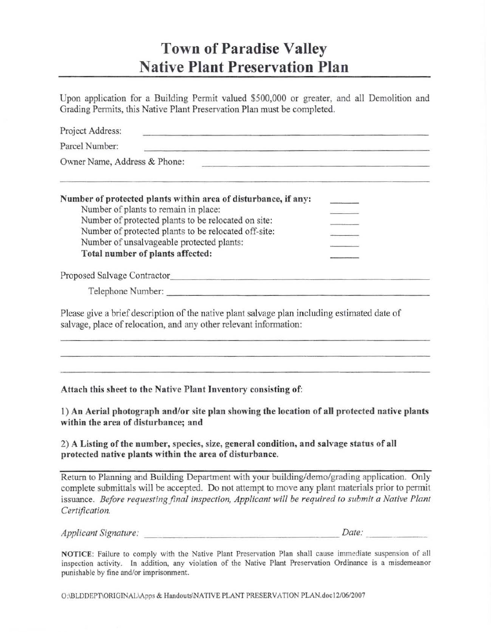## Town of Paradise Valley Native Plant Preservation Plan

Upon application for a Building Permit valued \$500,000 or greater, and all Demolition and Grading Permits, this Native Plant Preservation Plan must be completed.

| Project Address:<br><u> 1989 - 1989 - Albert Albert al-Amerikaansk komponist (* 1989)</u>                                                                                                                                 |  |  |  |  |
|---------------------------------------------------------------------------------------------------------------------------------------------------------------------------------------------------------------------------|--|--|--|--|
| Parcel Number:<br><u> 1989 - Anima Anima Anima Anima Anima Anima Anima Anima Anima Anima Anima Anima Anima Anima Anima Ani</u>                                                                                            |  |  |  |  |
| Owner Name, Address & Phone:<br><u> 1989 - Johann Barbara, martxa alemaniar arg</u>                                                                                                                                       |  |  |  |  |
| the contract of the contract of the contract of the contract of the contract of the contract of the contract of<br>Number of protected plants within area of disturbance, if any:<br>Number of plants to remain in place: |  |  |  |  |
| Number of protected plants to be relocated on site:                                                                                                                                                                       |  |  |  |  |
| Number of protected plants to be relocated off-site:                                                                                                                                                                      |  |  |  |  |
| Number of unsalvageable protected plants:                                                                                                                                                                                 |  |  |  |  |
| Total number of plants affected:                                                                                                                                                                                          |  |  |  |  |
|                                                                                                                                                                                                                           |  |  |  |  |
| Telephone Number:                                                                                                                                                                                                         |  |  |  |  |
| Please give a brief description of the native plant salvage plan including estimated date of<br>salvage, place of relocation, and any other relevant information:                                                         |  |  |  |  |
|                                                                                                                                                                                                                           |  |  |  |  |
|                                                                                                                                                                                                                           |  |  |  |  |
|                                                                                                                                                                                                                           |  |  |  |  |
| Attach this sheet to the Native Plant Inventory consisting of:                                                                                                                                                            |  |  |  |  |

1) An Aerial photogrnph and/or site plan showing the location of all protected native plants within the area of disturbance; and

2) A Listing of the number, species, size, general condition, and salvage status of all protected native plants within the area of disturbance.

Return to Planning and Building Department with your building/demo/grading application. Only complete submittals will be accepted. Do not attempt to move any plant materials prior to permit issuance. *Before requesting final inspection, Applicant will be required to submit a Native Plant Certification.* 

| Applicant Signature: | Date: |
|----------------------|-------|
|                      |       |

NOTICE: Failure to comply with the Native Plant Preservation Plan shall cause immediate suspension of all inspection activity. In addition, any violation of the Native Plant Preservation Ordinance is a misdemeanor punishable by fine and/or imprisonment.

O:\BLDDEPT\ORIGINAL\Apps & Handouts\NATIVE PLANT PRESERVATION PLAN.doc12/06/2007